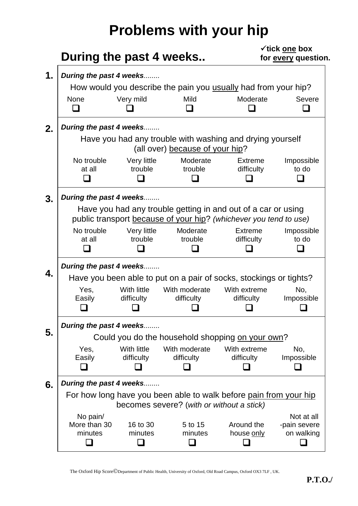## **Problems with your hip**

|                                                                                                                                    | During the past 4 weeks                                                                                        |                             | $\checkmark$ tick one box<br>for every question. |                                          |  |  |  |  |
|------------------------------------------------------------------------------------------------------------------------------------|----------------------------------------------------------------------------------------------------------------|-----------------------------|--------------------------------------------------|------------------------------------------|--|--|--|--|
|                                                                                                                                    | During the past 4 weeks                                                                                        |                             |                                                  |                                          |  |  |  |  |
|                                                                                                                                    | How would you describe the pain you usually had from your hip?                                                 |                             |                                                  |                                          |  |  |  |  |
| <b>None</b><br>ப                                                                                                                   | Very mild                                                                                                      | Mild                        | Moderate                                         | Severe                                   |  |  |  |  |
|                                                                                                                                    | During the past 4 weeks                                                                                        |                             |                                                  |                                          |  |  |  |  |
| Have you had any trouble with washing and drying yourself<br>(all over) because of your hip?                                       |                                                                                                                |                             |                                                  |                                          |  |  |  |  |
| No trouble<br>at all                                                                                                               | Very little<br>trouble                                                                                         | Moderate<br>trouble         | <b>Extreme</b><br>difficulty                     | Impossible<br>to do                      |  |  |  |  |
|                                                                                                                                    | During the past 4 weeks                                                                                        |                             |                                                  |                                          |  |  |  |  |
| Have you had any trouble getting in and out of a car or using<br>public transport because of your hip? (whichever you tend to use) |                                                                                                                |                             |                                                  |                                          |  |  |  |  |
| No trouble<br>at all                                                                                                               | Very little<br>trouble                                                                                         | Moderate<br>trouble         | <b>Extreme</b><br>difficulty                     | Impossible<br>to do                      |  |  |  |  |
| During the past 4 weeks<br>Have you been able to put on a pair of socks, stockings or tights?                                      |                                                                                                                |                             |                                                  |                                          |  |  |  |  |
| Yes,<br>Easily                                                                                                                     | With little<br>difficulty                                                                                      | With moderate<br>difficulty | With extreme<br>difficulty                       | No,<br>Impossible                        |  |  |  |  |
|                                                                                                                                    | During the past 4 weeks                                                                                        |                             |                                                  |                                          |  |  |  |  |
|                                                                                                                                    | Could you do the household shopping on your own?                                                               |                             |                                                  |                                          |  |  |  |  |
| Yes,<br>Easily                                                                                                                     | With little<br>difficulty                                                                                      | With moderate<br>difficulty | With extreme<br>difficulty                       | No,<br>Impossible                        |  |  |  |  |
|                                                                                                                                    | During the past 4 weeks                                                                                        |                             |                                                  |                                          |  |  |  |  |
|                                                                                                                                    | For how long have you been able to walk before pain from your hip<br>becomes severe? (with or without a stick) |                             |                                                  |                                          |  |  |  |  |
| No pain/<br>More than 30<br>minutes                                                                                                | 16 to 30<br>minutes                                                                                            | 5 to 15<br>minutes          | Around the<br>house only                         | Not at all<br>-pain severe<br>on walking |  |  |  |  |

The Oxford Hip Score©Department of Public Health, University of Oxford, Old Road Campus, Oxford OX3 7LF , UK.